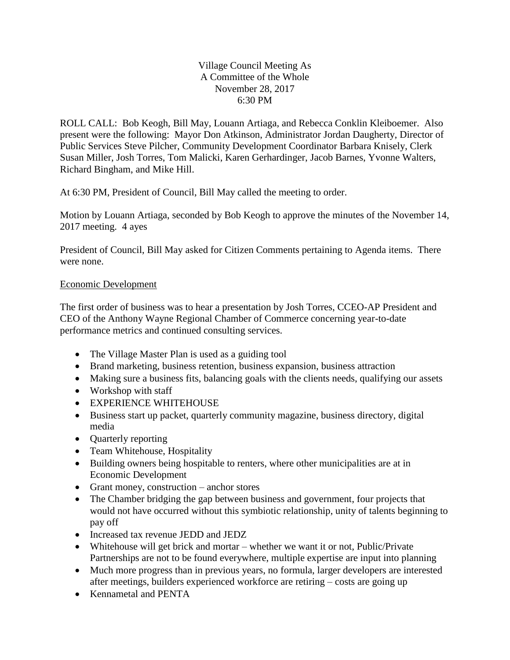## Village Council Meeting As A Committee of the Whole November 28, 2017 6:30 PM

ROLL CALL: Bob Keogh, Bill May, Louann Artiaga, and Rebecca Conklin Kleiboemer. Also present were the following: Mayor Don Atkinson, Administrator Jordan Daugherty, Director of Public Services Steve Pilcher, Community Development Coordinator Barbara Knisely, Clerk Susan Miller, Josh Torres, Tom Malicki, Karen Gerhardinger, Jacob Barnes, Yvonne Walters, Richard Bingham, and Mike Hill.

At 6:30 PM, President of Council, Bill May called the meeting to order.

Motion by Louann Artiaga, seconded by Bob Keogh to approve the minutes of the November 14, 2017 meeting. 4 ayes

President of Council, Bill May asked for Citizen Comments pertaining to Agenda items. There were none.

## Economic Development

The first order of business was to hear a presentation by Josh Torres, CCEO-AP President and CEO of the Anthony Wayne Regional Chamber of Commerce concerning year-to-date performance metrics and continued consulting services.

- The Village Master Plan is used as a guiding tool
- Brand marketing, business retention, business expansion, business attraction
- Making sure a business fits, balancing goals with the clients needs, qualifying our assets
- Workshop with staff
- EXPERIENCE WHITEHOUSE
- Business start up packet, quarterly community magazine, business directory, digital media
- Quarterly reporting
- Team Whitehouse, Hospitality
- Building owners being hospitable to renters, where other municipalities are at in Economic Development
- Grant money, construction anchor stores
- The Chamber bridging the gap between business and government, four projects that would not have occurred without this symbiotic relationship, unity of talents beginning to pay off
- Increased tax revenue JEDD and JEDZ
- Whitehouse will get brick and mortar whether we want it or not, Public/Private Partnerships are not to be found everywhere, multiple expertise are input into planning
- Much more progress than in previous years, no formula, larger developers are interested after meetings, builders experienced workforce are retiring – costs are going up
- Kennametal and PENTA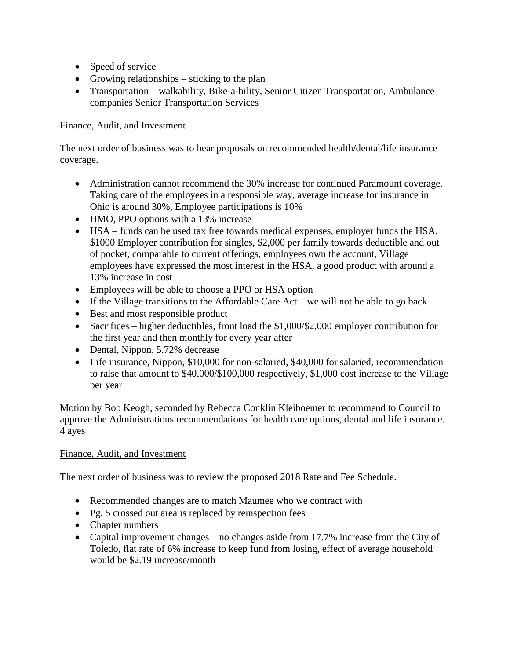- Speed of service
- Growing relationships sticking to the plan
- Transportation walkability, Bike-a-bility, Senior Citizen Transportation, Ambulance companies Senior Transportation Services

## Finance, Audit, and Investment

The next order of business was to hear proposals on recommended health/dental/life insurance coverage.

- Administration cannot recommend the 30% increase for continued Paramount coverage, Taking care of the employees in a responsible way, average increase for insurance in Ohio is around 30%, Employee participations is 10%
- HMO, PPO options with a 13% increase
- HSA funds can be used tax free towards medical expenses, employer funds the HSA, \$1000 Employer contribution for singles, \$2,000 per family towards deductible and out of pocket, comparable to current offerings, employees own the account, Village employees have expressed the most interest in the HSA, a good product with around a 13% increase in cost
- Employees will be able to choose a PPO or HSA option
- If the Village transitions to the Affordable Care  $Act we$  will not be able to go back
- Best and most responsible product
- Sacrifices higher deductibles, front load the \$1,000/\$2,000 employer contribution for the first year and then monthly for every year after
- Dental, Nippon, 5.72% decrease
- Life insurance, Nippon, \$10,000 for non-salaried, \$40,000 for salaried, recommendation to raise that amount to \$40,000/\$100,000 respectively, \$1,000 cost increase to the Village per year

Motion by Bob Keogh, seconded by Rebecca Conklin Kleiboemer to recommend to Council to approve the Administrations recommendations for health care options, dental and life insurance. 4 ayes

## Finance, Audit, and Investment

The next order of business was to review the proposed 2018 Rate and Fee Schedule.

- Recommended changes are to match Maumee who we contract with
- Pg. 5 crossed out area is replaced by reinspection fees
- Chapter numbers
- Capital improvement changes no changes aside from 17.7% increase from the City of Toledo, flat rate of 6% increase to keep fund from losing, effect of average household would be \$2.19 increase/month